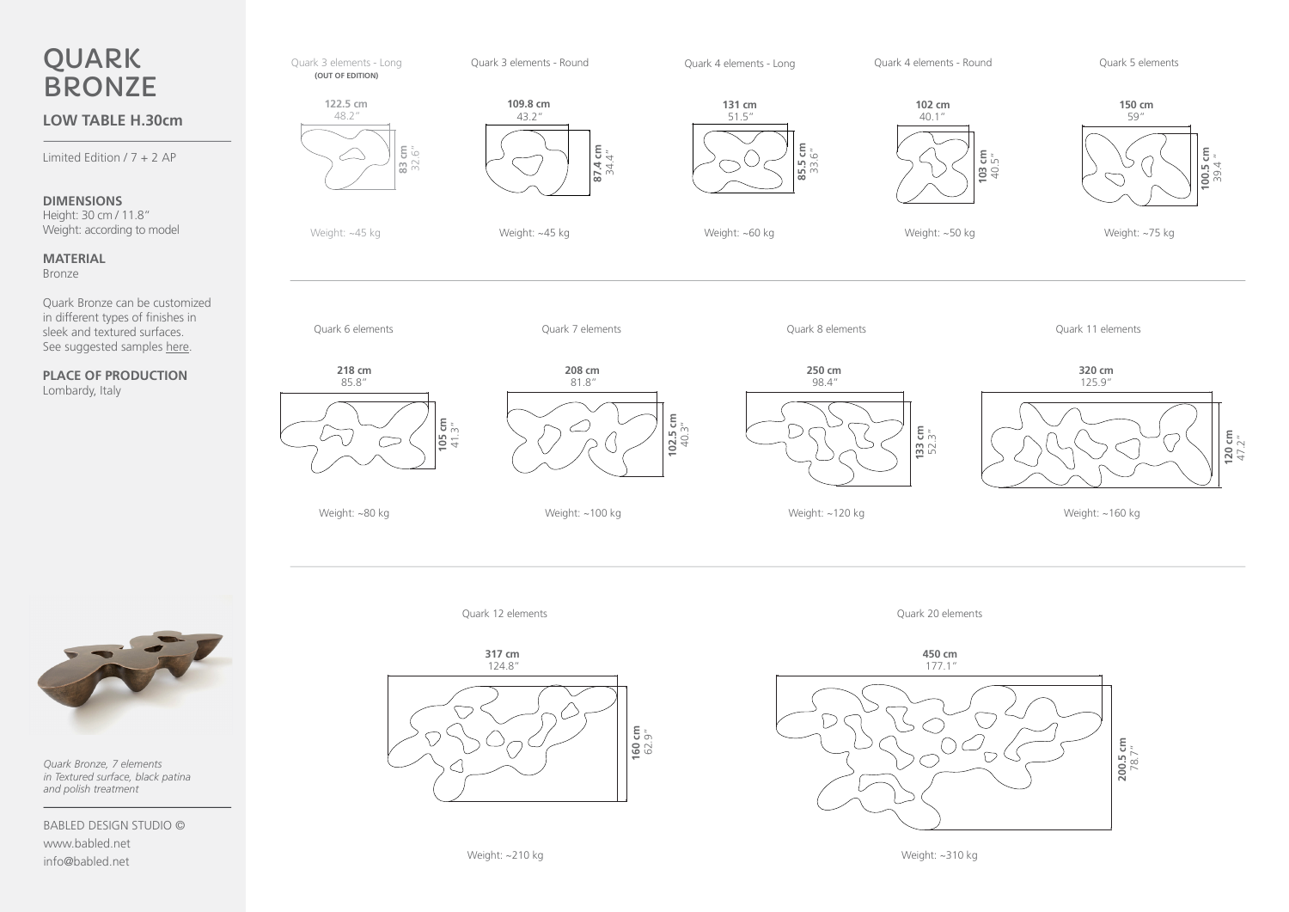



*Quark Bronze, 7 elements in Textured surface, black patina and polish treatment*

BABLED DESIGN STUDIO © www.babled.net info@babled.net



Quark 12 elements

Quark 20 elements



Weight: ~310 kg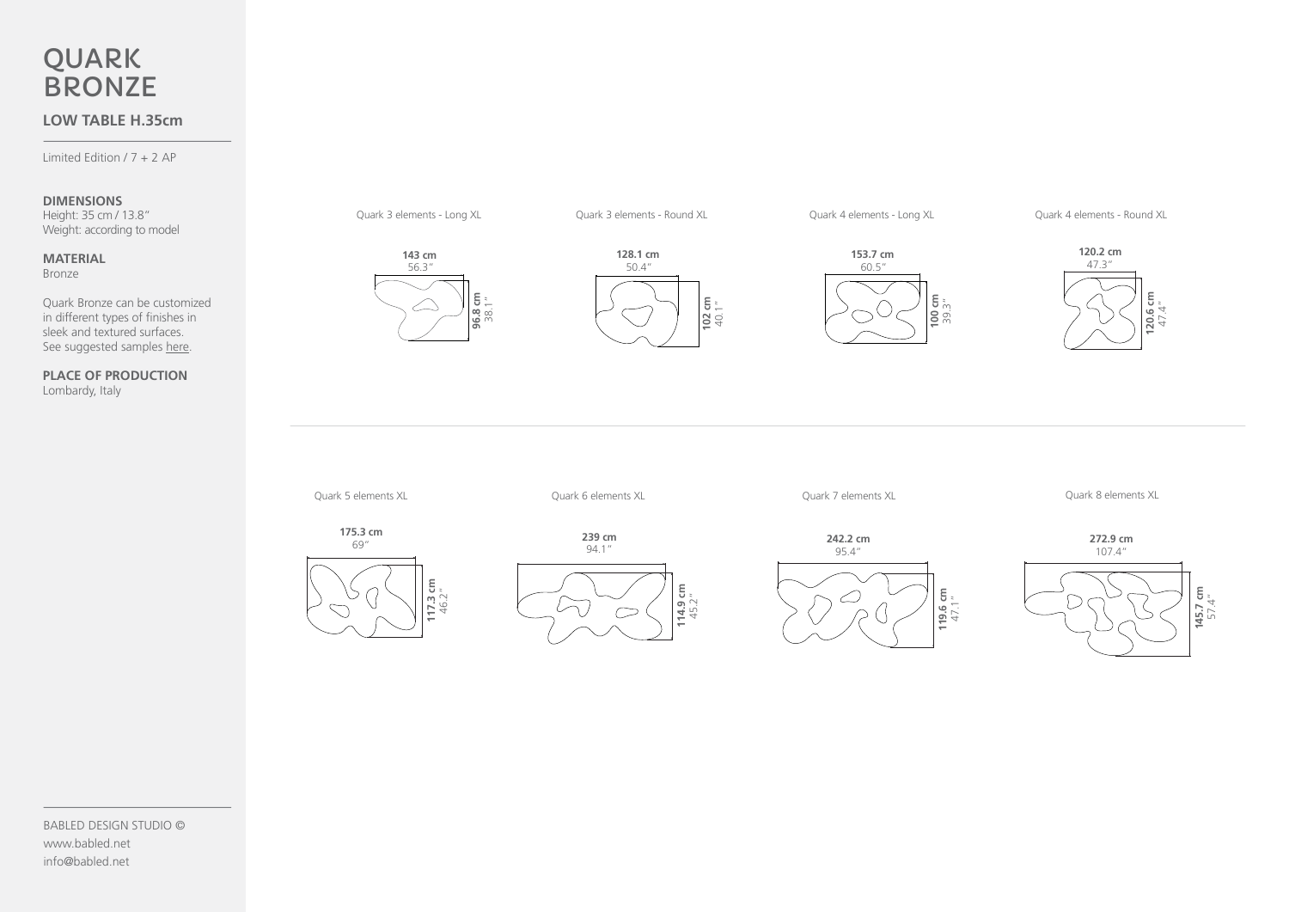# QUARK **BRONZE**

## **LOW TABLE H.35cm**

Limited Edition / 7 + 2 AP

#### **DIMENSIONS**

Height: 35 cm / 13.8" Weight: according to model

#### **MATERIAL** Bronze

Quark Bronze can be customized in different types of finishes in sleek and textured surfaces. See suggested samples [here](https://www.babled.net/wp-content/uploads/Quark-Bronze_Samples-Sheet.pdf).

**PLACE OF PRODUCTION** Lombardy, Italy



Quark 3 elements - Long XL



Quark 3 elements - Round XL



Quark 4 elements - Long XL

Quark 4 elements - Round XL



Quark 5 elements XL

Quark 6 elements XL

Quark 7 elements XL

Quark 8 elements XL





**239 cm**  94.1"



**242.2 cm**  95.4" 119.6 cm<br>47.1" **119.6 cm**   $\varnothing$  $\bigcirc$ 

**272.9 cm** 





BABLED DESIGN STUDIO © www.babled.net info@babled.net